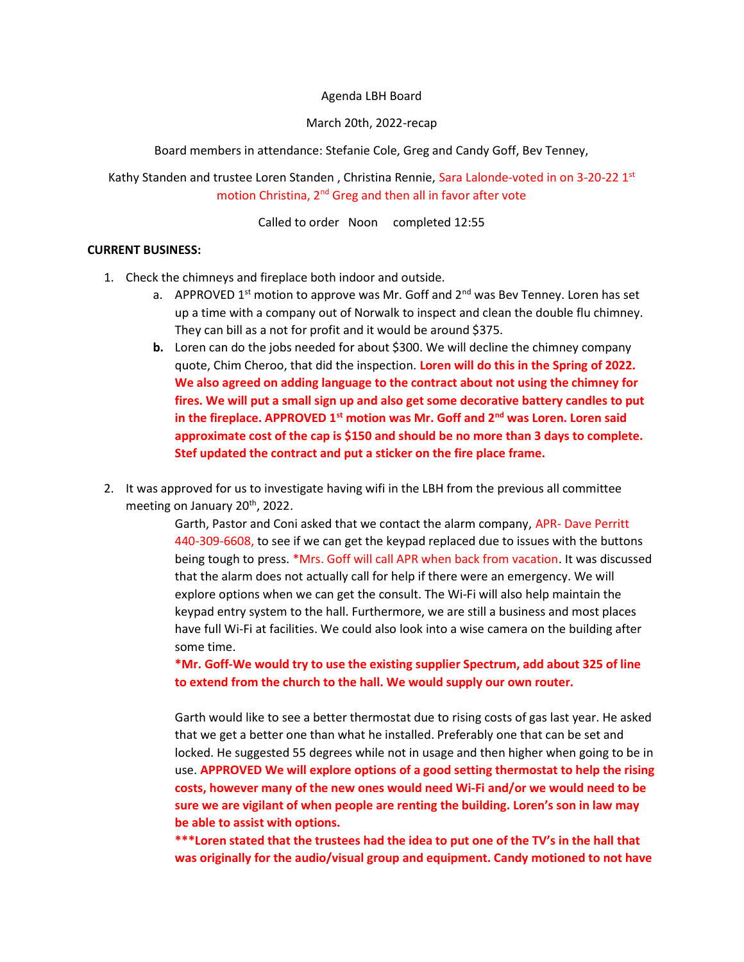Agenda LBH Board

#### March 20th, 2022-recap

Board members in attendance: Stefanie Cole, Greg and Candy Goff, Bev Tenney,

Kathy Standen and trustee Loren Standen, Christina Rennie, Sara Lalonde-voted in on 3-20-22 1st motion Christina, 2nd Greg and then all in favor after vote

Called to order Noon completed 12:55

#### CURRENT BUSINESS:

- 1. Check the chimneys and fireplace both indoor and outside.
	- a. APPROVED 1<sup>st</sup> motion to approve was Mr. Goff and  $2<sup>nd</sup>$  was Bev Tenney. Loren has set up a time with a company out of Norwalk to inspect and clean the double flu chimney. They can bill as a not for profit and it would be around \$375.
	- b. Loren can do the jobs needed for about \$300. We will decline the chimney company quote, Chim Cheroo, that did the inspection. Loren will do this in the Spring of 2022. We also agreed on adding language to the contract about not using the chimney for fires. We will put a small sign up and also get some decorative battery candles to put in the fireplace. APPROVED  $1<sup>st</sup>$  motion was Mr. Goff and  $2<sup>nd</sup>$  was Loren. Loren said approximate cost of the cap is \$150 and should be no more than 3 days to complete. Stef updated the contract and put a sticker on the fire place frame.
- 2. It was approved for us to investigate having wifi in the LBH from the previous all committee meeting on January 20<sup>th</sup>, 2022.

Garth, Pastor and Coni asked that we contact the alarm company, APR- Dave Perritt 440-309-6608, to see if we can get the keypad replaced due to issues with the buttons being tough to press. \*Mrs. Goff will call APR when back from vacation. It was discussed that the alarm does not actually call for help if there were an emergency. We will explore options when we can get the consult. The Wi-Fi will also help maintain the keypad entry system to the hall. Furthermore, we are still a business and most places have full Wi-Fi at facilities. We could also look into a wise camera on the building after some time.

\*Mr. Goff-We would try to use the existing supplier Spectrum, add about 325 of line to extend from the church to the hall. We would supply our own router.

Garth would like to see a better thermostat due to rising costs of gas last year. He asked that we get a better one than what he installed. Preferably one that can be set and locked. He suggested 55 degrees while not in usage and then higher when going to be in use. APPROVED We will explore options of a good setting thermostat to help the rising costs, however many of the new ones would need Wi-Fi and/or we would need to be sure we are vigilant of when people are renting the building. Loren's son in law may be able to assist with options.

\*\*\*Loren stated that the trustees had the idea to put one of the TV's in the hall that was originally for the audio/visual group and equipment. Candy motioned to not have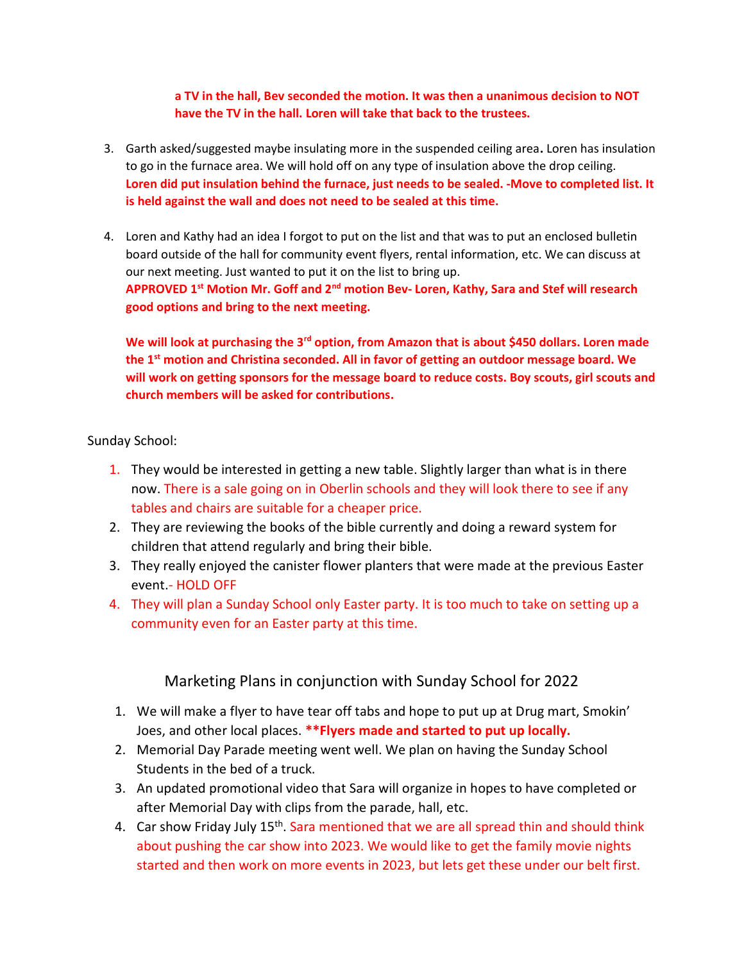a TV in the hall, Bev seconded the motion. It was then a unanimous decision to NOT have the TV in the hall. Loren will take that back to the trustees.

- 3. Garth asked/suggested maybe insulating more in the suspended ceiling area. Loren has insulation to go in the furnace area. We will hold off on any type of insulation above the drop ceiling. Loren did put insulation behind the furnace, just needs to be sealed. -Move to completed list. It is held against the wall and does not need to be sealed at this time.
- 4. Loren and Kathy had an idea I forgot to put on the list and that was to put an enclosed bulletin board outside of the hall for community event flyers, rental information, etc. We can discuss at our next meeting. Just wanted to put it on the list to bring up. APPROVED  $1^{st}$  Motion Mr. Goff and  $2^{nd}$  motion Bev- Loren, Kathy, Sara and Stef will research good options and bring to the next meeting.

We will look at purchasing the  $3<sup>rd</sup>$  option, from Amazon that is about \$450 dollars. Loren made the 1<sup>st</sup> motion and Christina seconded. All in favor of getting an outdoor message board. We will work on getting sponsors for the message board to reduce costs. Boy scouts, girl scouts and church members will be asked for contributions.

## Sunday School:

- 1. They would be interested in getting a new table. Slightly larger than what is in there now. There is a sale going on in Oberlin schools and they will look there to see if any tables and chairs are suitable for a cheaper price.
- 2. They are reviewing the books of the bible currently and doing a reward system for children that attend regularly and bring their bible.
- 3. They really enjoyed the canister flower planters that were made at the previous Easter event.- HOLD OFF
- 4. They will plan a Sunday School only Easter party. It is too much to take on setting up a community even for an Easter party at this time.

# Marketing Plans in conjunction with Sunday School for 2022

- 1. We will make a flyer to have tear off tabs and hope to put up at Drug mart, Smokin' Joes, and other local places. \*\* Flyers made and started to put up locally.
- 2. Memorial Day Parade meeting went well. We plan on having the Sunday School Students in the bed of a truck.
- 3. An updated promotional video that Sara will organize in hopes to have completed or after Memorial Day with clips from the parade, hall, etc.
- 4. Car show Friday July 15<sup>th</sup>. Sara mentioned that we are all spread thin and should think about pushing the car show into 2023. We would like to get the family movie nights started and then work on more events in 2023, but lets get these under our belt first.